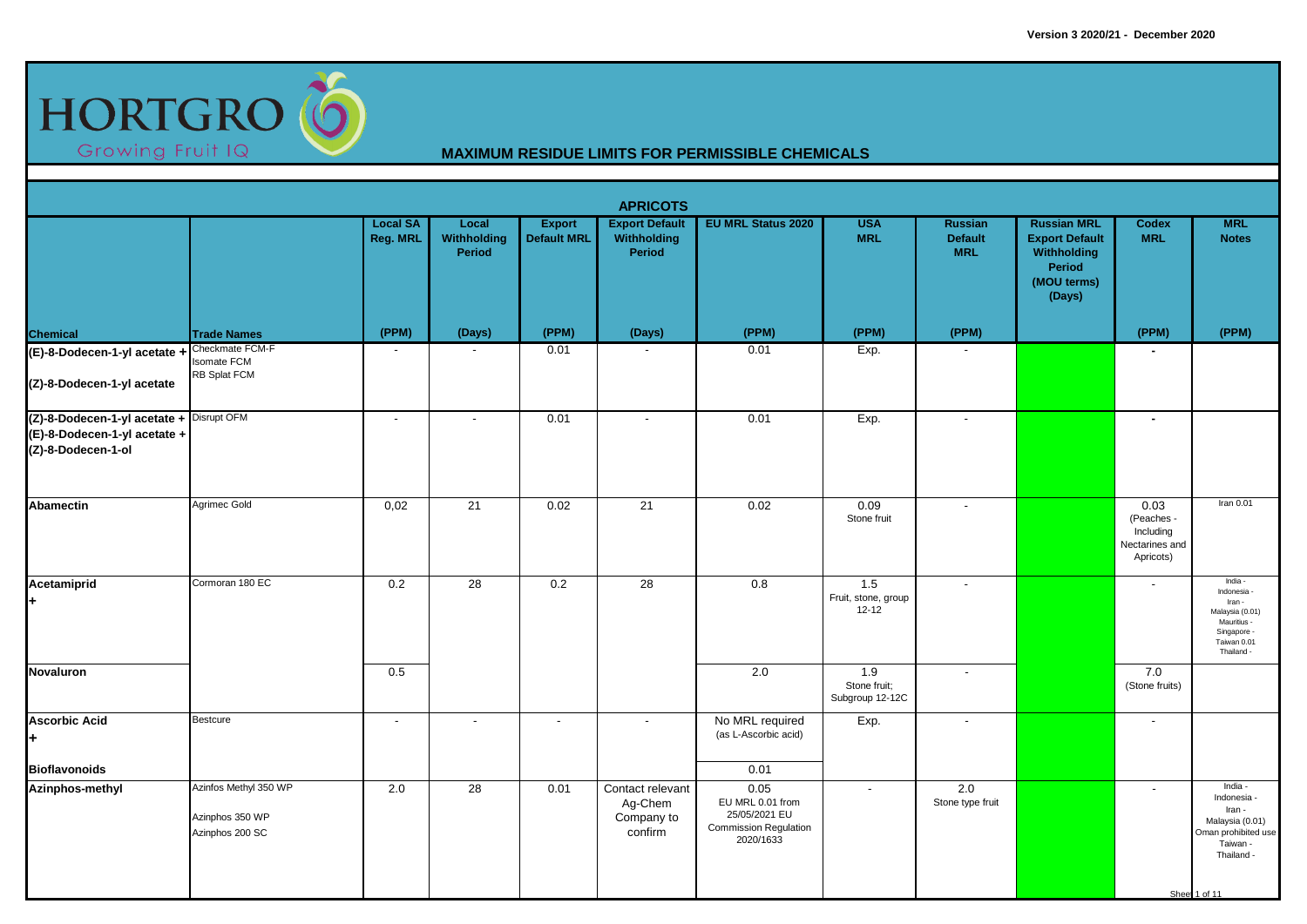

|                                                                                                |                                                             |                             |                                       |                                     | <b>APRICOTS</b>                                       |                                                                                        |                                         |                                                |                                                                                               |                                                                |                                                                                                                       |
|------------------------------------------------------------------------------------------------|-------------------------------------------------------------|-----------------------------|---------------------------------------|-------------------------------------|-------------------------------------------------------|----------------------------------------------------------------------------------------|-----------------------------------------|------------------------------------------------|-----------------------------------------------------------------------------------------------|----------------------------------------------------------------|-----------------------------------------------------------------------------------------------------------------------|
|                                                                                                |                                                             | <b>Local SA</b><br>Reg. MRL | Local<br><b>Withholding</b><br>Period | <b>Export</b><br><b>Default MRL</b> | <b>Export Default</b><br>Withholding<br><b>Period</b> | <b>EU MRL Status 2020</b>                                                              | <b>USA</b><br><b>MRL</b>                | <b>Russian</b><br><b>Default</b><br><b>MRL</b> | <b>Russian MRL</b><br><b>Export Default</b><br>Withholding<br>Period<br>(MOU terms)<br>(Days) | <b>Codex</b><br><b>MRL</b>                                     | <b>MRL</b><br><b>Notes</b>                                                                                            |
| <b>Chemical</b>                                                                                | <b>Trade Names</b>                                          | (PPM)                       | (Days)                                | (PPM)                               | (Days)                                                | (PPM)                                                                                  | (PPM)                                   | (PPM)                                          |                                                                                               | (PPM)                                                          | (PPM)                                                                                                                 |
| (E)-8-Dodecen-1-yl acetate + Checkmate FCM-F<br>(Z)-8-Dodecen-1-yl acetate                     | <b>Isomate FCM</b><br>RB Splat FCM                          | $\overline{\phantom{a}}$    |                                       | 0.01                                |                                                       | 0.01                                                                                   | Exp.                                    |                                                |                                                                                               | $\sim$                                                         |                                                                                                                       |
| (Z)-8-Dodecen-1-yl acetate + Disrupt OFM<br>(E)-8-Dodecen-1-yl acetate +<br>(Z)-8-Dodecen-1-ol |                                                             | $\sim$                      | $\overline{\phantom{a}}$              | 0.01                                | $\sim$                                                | 0.01                                                                                   | Exp.                                    | $\blacksquare$                                 |                                                                                               | $\blacksquare$                                                 |                                                                                                                       |
| <b>Abamectin</b>                                                                               | Agrimec Gold                                                | 0,02                        | 21                                    | 0.02                                | $\overline{21}$                                       | 0.02                                                                                   | 0.09<br>Stone fruit                     | $\overline{\phantom{a}}$                       |                                                                                               | 0.03<br>(Peaches -<br>Including<br>Nectarines and<br>Apricots) | Iran 0.01                                                                                                             |
| Acetamiprid<br>l+                                                                              | Cormoran 180 EC                                             | $\overline{0.2}$            | $\overline{28}$                       | 0.2                                 | $\overline{28}$                                       | 0.8                                                                                    | 1.5<br>Fruit, stone, group<br>$12 - 12$ | $\overline{\phantom{a}}$                       |                                                                                               |                                                                | India -<br>Indonesia<br>Iran -<br>Malaysia (0.01)<br>Mauritius -<br>Singapore -<br>Taiwan 0.01<br>Thailand -          |
| <b>Novaluron</b>                                                                               |                                                             | 0.5                         |                                       |                                     |                                                       | $\overline{2.0}$                                                                       | 1.9<br>Stone fruit;<br>Subgroup 12-12C  | $\overline{\phantom{a}}$                       |                                                                                               | 7.0<br>(Stone fruits)                                          |                                                                                                                       |
| <b>Ascorbic Acid</b><br>l+                                                                     | <b>Bestcure</b>                                             | $\overline{\phantom{a}}$    |                                       | $\overline{\phantom{a}}$            | $\overline{\phantom{a}}$                              | No MRL required<br>(as L-Ascorbic acid)<br>0.01                                        | Exp.                                    | $\overline{\phantom{a}}$                       |                                                                                               | $\overline{\phantom{0}}$                                       |                                                                                                                       |
| <b>Bioflavonoids</b><br><b>Azinphos-methyl</b>                                                 | Azinfos Methyl 350 WP<br>Azinphos 350 WP<br>Azinphos 200 SC | 2.0                         | $\overline{28}$                       | 0.01                                | Contact relevant<br>Ag-Chem<br>Company to<br>confirm  | 0.05<br>EU MRL 0.01 from<br>25/05/2021 EU<br><b>Commission Regulation</b><br>2020/1633 | $\sim$                                  | 2.0<br>Stone type fruit                        |                                                                                               | $\blacksquare$                                                 | India -<br>Indonesia -<br>Iran -<br>Malaysia (0.01)<br>Oman prohibited use<br>Taiwan -<br>Thailand -<br>Sheet 1 of 11 |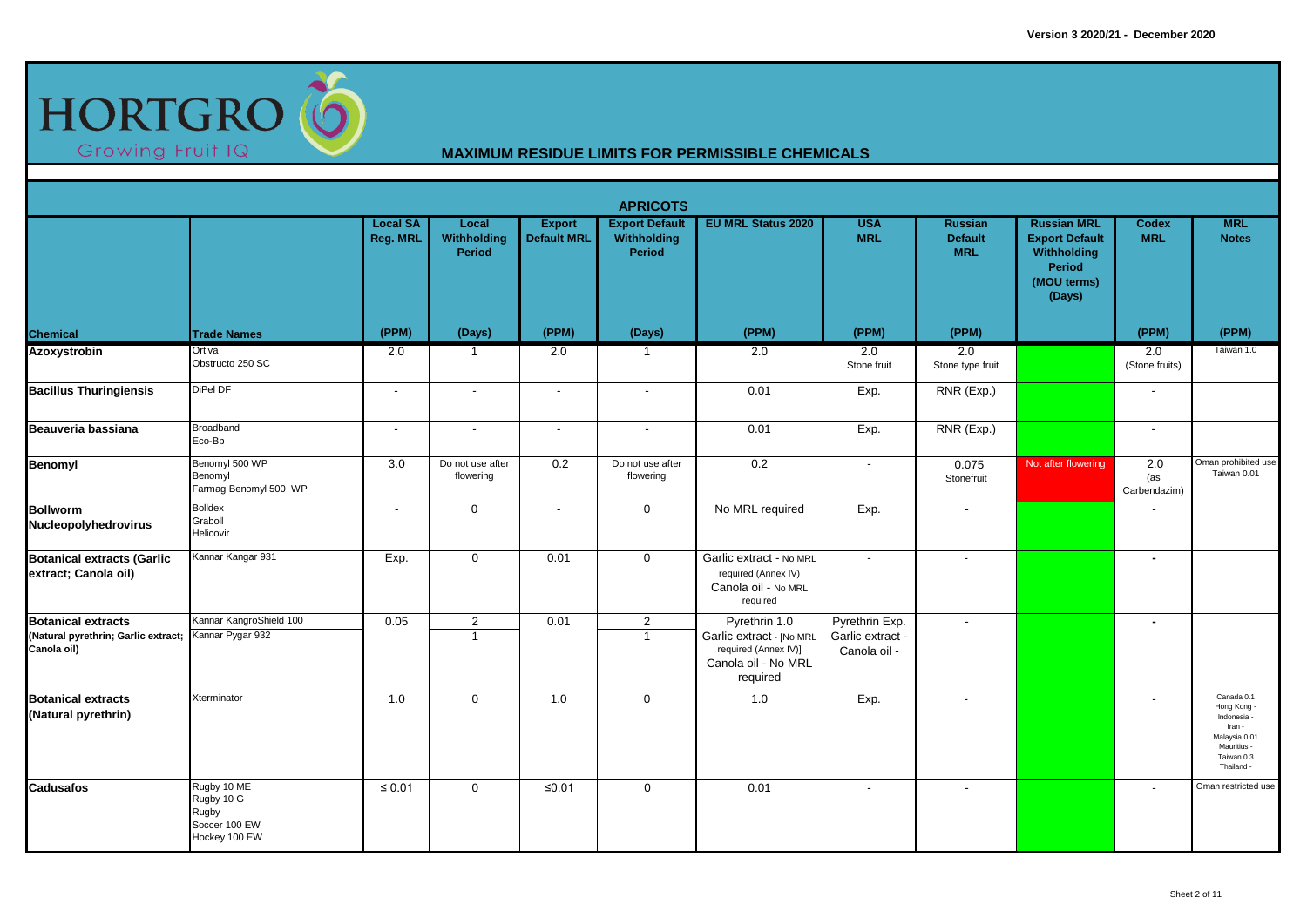

|                                                                                 |                                                                      |                             |                                  |                                     | <b>APRICOTS</b>                                |                                                                                                      |                                                    |                                                |                                                                                               |                            |                                                                                                            |
|---------------------------------------------------------------------------------|----------------------------------------------------------------------|-----------------------------|----------------------------------|-------------------------------------|------------------------------------------------|------------------------------------------------------------------------------------------------------|----------------------------------------------------|------------------------------------------------|-----------------------------------------------------------------------------------------------|----------------------------|------------------------------------------------------------------------------------------------------------|
|                                                                                 |                                                                      | <b>Local SA</b><br>Reg. MRL | Local<br>Withholding<br>Period   | <b>Export</b><br><b>Default MRL</b> | <b>Export Default</b><br>Withholding<br>Period | <b>EU MRL Status 2020</b>                                                                            | <b>USA</b><br><b>MRL</b>                           | <b>Russian</b><br><b>Default</b><br><b>MRL</b> | <b>Russian MRL</b><br><b>Export Default</b><br>Withholding<br>Period<br>(MOU terms)<br>(Days) | <b>Codex</b><br><b>MRL</b> | <b>MRL</b><br><b>Notes</b>                                                                                 |
| <b>Chemical</b>                                                                 | <b>Trade Names</b>                                                   | (PPM)                       | (Days)                           | (PPM)                               | (Days)                                         | (PPM)                                                                                                | (PPM)                                              | (PPM)                                          |                                                                                               | (PPM)                      | (PPM)                                                                                                      |
| <b>Azoxystrobin</b>                                                             | Ortiva<br>Obstructo 250 SC                                           | 2.0                         | $\overline{1}$                   | 2.0                                 | -1                                             | 2.0                                                                                                  | 2.0<br>Stone fruit                                 | 2.0<br>Stone type fruit                        |                                                                                               | 2.0<br>(Stone fruits)      | Taiwan 1.0                                                                                                 |
| <b>Bacillus Thuringiensis</b>                                                   | DiPel DF                                                             | $\sim$                      | $\sim$                           | $\sim$                              | $\sim$                                         | 0.01                                                                                                 | Exp.                                               | RNR (Exp.)                                     |                                                                                               | $\sim$                     |                                                                                                            |
| Beauveria bassiana                                                              | Broadband<br>Eco-Bb                                                  | $\sim$                      | $\overline{\phantom{a}}$         | $\overline{\phantom{a}}$            | $\overline{\phantom{a}}$                       | 0.01                                                                                                 | Exp.                                               | RNR (Exp.)                                     |                                                                                               | $\overline{\phantom{a}}$   |                                                                                                            |
| <b>Benomyl</b>                                                                  | Benomyl 500 WP<br>Benomyl<br>Farmag Benomyl 500 WP                   | 3.0                         | Do not use after<br>flowering    | 0.2                                 | Do not use after<br>flowering                  | 0.2                                                                                                  | $\overline{\phantom{a}}$                           | 0.075<br>Stonefruit                            | Not after flowering                                                                           | 2.0<br>(as<br>Carbendazim) | Oman prohibited use<br>Taiwan 0.01                                                                         |
| <b>Bollworm</b><br>Nucleopolyhedrovirus                                         | <b>Bolldex</b><br>Graboll<br>Helicovir                               | $\overline{\phantom{a}}$    | $\mathbf 0$                      |                                     | $\mathbf 0$                                    | No MRL required                                                                                      | Exp.                                               | $\overline{\phantom{a}}$                       |                                                                                               |                            |                                                                                                            |
| <b>Botanical extracts (Garlic</b><br>extract; Canola oil)                       | Kannar Kangar 931                                                    | Exp.                        | $\mathbf 0$                      | 0.01                                | $\mathbf{0}$                                   | Garlic extract - No MRL<br>required (Annex IV)<br>Canola oil - No MRL<br>required                    | $\sim$                                             | $\blacksquare$                                 |                                                                                               | $\blacksquare$             |                                                                                                            |
| <b>Botanical extracts</b><br>(Natural pyrethrin; Garlic extract;<br>Canola oil) | Kannar KangroShield 100<br>Kannar Pygar 932                          | 0.05                        | $\overline{2}$<br>$\overline{1}$ | 0.01                                | $\overline{2}$<br>$\overline{1}$               | Pyrethrin 1.0<br>Garlic extract - [No MRL<br>required (Annex IV)]<br>Canola oil - No MRL<br>required | Pyrethrin Exp.<br>Garlic extract -<br>Canola oil - | $\blacksquare$                                 |                                                                                               | $\blacksquare$             |                                                                                                            |
| <b>Botanical extracts</b><br>(Natural pyrethrin)                                | Xterminator                                                          | 1.0                         | $\mathbf 0$                      | 1.0                                 | $\mathbf 0$                                    | 1.0                                                                                                  | Exp.                                               | $\overline{\phantom{a}}$                       |                                                                                               |                            | Canada 0.1<br>Hong Kong<br>Indonesia<br>Iran -<br>Malaysia 0.01<br>Mauritius -<br>Taiwan 0.3<br>Thailand - |
| <b>Cadusafos</b>                                                                | Rugby 10 ME<br>Rugby 10 G<br>Rugby<br>Soccer 100 EW<br>Hockey 100 EW | $\leq 0.01$                 | $\mathbf 0$                      | ≤0.01                               | $\mathbf 0$                                    | 0.01                                                                                                 | $\overline{\phantom{a}}$                           | $\overline{\phantom{a}}$                       |                                                                                               |                            | Oman restricted use                                                                                        |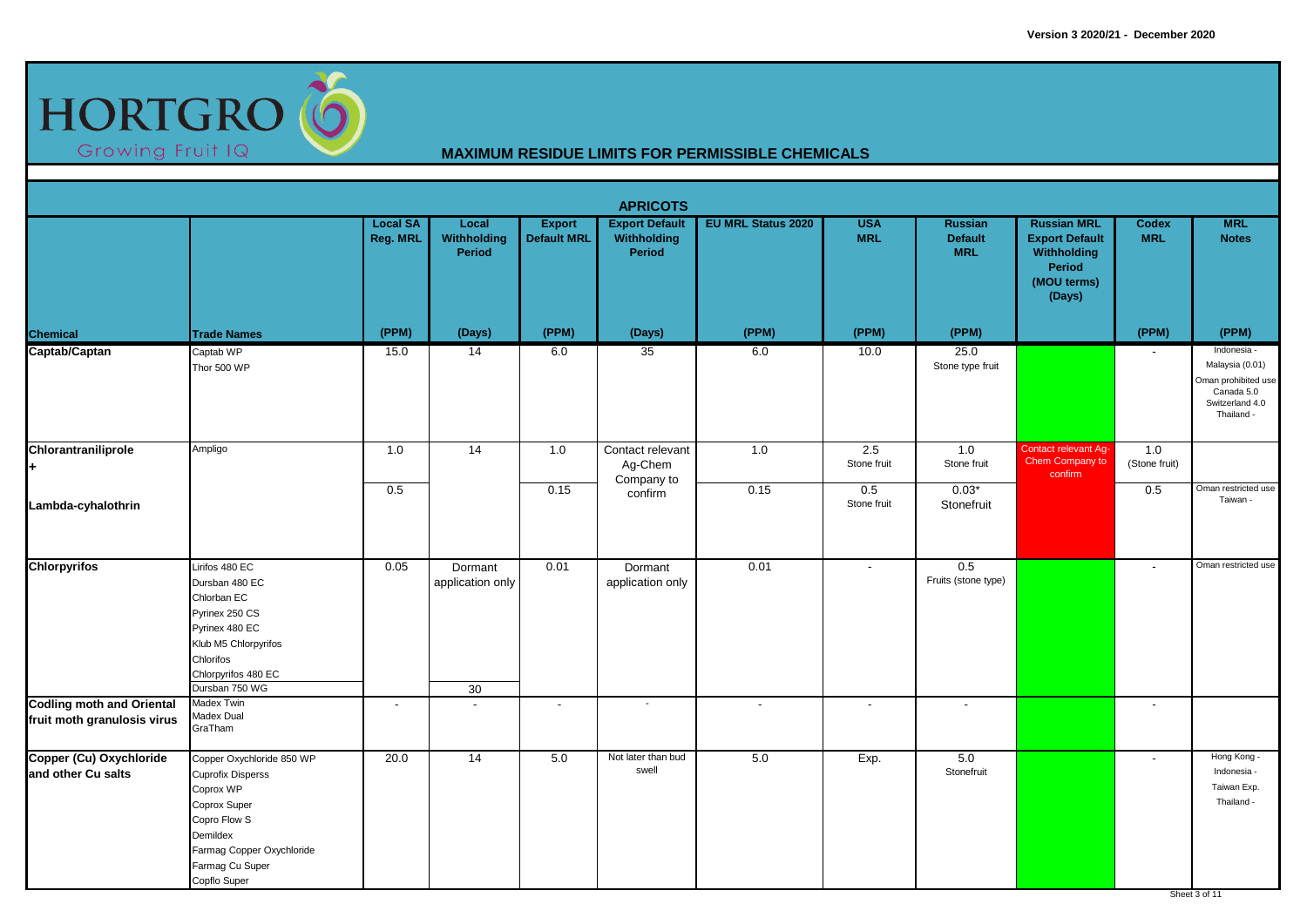

|                                                                 |                                                                                                                                                                                |                             |                                   |                                     | <b>APRICOTS</b>                                |                           |                          |                                                |                                                                                                      |                            |                                                                                                      |
|-----------------------------------------------------------------|--------------------------------------------------------------------------------------------------------------------------------------------------------------------------------|-----------------------------|-----------------------------------|-------------------------------------|------------------------------------------------|---------------------------|--------------------------|------------------------------------------------|------------------------------------------------------------------------------------------------------|----------------------------|------------------------------------------------------------------------------------------------------|
|                                                                 |                                                                                                                                                                                | <b>Local SA</b><br>Reg. MRL | Local<br>Withholding<br>Period    | <b>Export</b><br><b>Default MRL</b> | <b>Export Default</b><br>Withholding<br>Period | <b>EU MRL Status 2020</b> | <b>USA</b><br><b>MRL</b> | <b>Russian</b><br><b>Default</b><br><b>MRL</b> | <b>Russian MRL</b><br><b>Export Default</b><br>Withholding<br><b>Period</b><br>(MOU terms)<br>(Days) | <b>Codex</b><br><b>MRL</b> | <b>MRL</b><br><b>Notes</b>                                                                           |
| Chemical                                                        | <b>Trade Names</b>                                                                                                                                                             | (PPM)                       | (Days)                            | (PPM)                               | (Days)                                         | (PPM)                     | (PPM)                    | (PPM)                                          |                                                                                                      | (PPM)                      | (PPM)                                                                                                |
| Captab/Captan                                                   | Captab WP<br>Thor 500 WP                                                                                                                                                       | 15.0                        | 14                                | 6.0                                 | 35                                             | 6.0                       | 10.0                     | 25.0<br>Stone type fruit                       |                                                                                                      |                            | Indonesia -<br>Malaysia (0.01)<br>Oman prohibited use<br>Canada 5.0<br>Switzerland 4.0<br>Thailand - |
| Chlorantraniliprole<br>H.                                       | Ampligo                                                                                                                                                                        | 1.0                         | 14                                | 1.0                                 | Contact relevant<br>Ag-Chem<br>Company to      | 1.0                       | 2.5<br>Stone fruit       | 1.0<br>Stone fruit                             | <b>Contact relevant Ag-</b><br>Chem Company to<br>confirm                                            | 1.0<br>(Stone fruit)       |                                                                                                      |
| Lambda-cyhalothrin                                              |                                                                                                                                                                                | 0.5                         |                                   | 0.15                                | confirm                                        | 0.15                      | 0.5<br>Stone fruit       | $0.03*$<br>Stonefruit                          |                                                                                                      | 0.5                        | Oman restricted use<br>Taiwan -                                                                      |
| <b>Chlorpyrifos</b>                                             | Lirifos 480 EC<br>Dursban 480 EC<br>Chlorban EC<br>Pyrinex 250 CS<br>Pyrinex 480 EC<br>Klub M5 Chlorpyrifos<br>Chlorifos<br>Chlorpyrifos 480 EC<br>Dursban 750 WG              | 0.05                        | Dormant<br>application only<br>30 | 0.01                                | Dormant<br>application only                    | 0.01                      | $\overline{a}$           | 0.5<br>Fruits (stone type)                     |                                                                                                      | $\overline{\phantom{a}}$   | Oman restricted use                                                                                  |
| <b>Codling moth and Oriental</b><br>fruit moth granulosis virus | Madex Twin<br>Madex Dual<br>GraTham                                                                                                                                            | $\overline{\phantom{a}}$    | $\overline{\phantom{a}}$          | $\overline{\phantom{a}}$            |                                                | $\overline{\phantom{a}}$  | $\overline{\phantom{a}}$ |                                                |                                                                                                      | $\overline{\phantom{a}}$   |                                                                                                      |
| Copper (Cu) Oxychloride<br>and other Cu salts                   | Copper Oxychloride 850 WP<br><b>Cuprofix Disperss</b><br>Coprox WP<br>Coprox Super<br>Copro Flow S<br>Demildex<br>Farmag Copper Oxychloride<br>Farmag Cu Super<br>Copflo Super | 20.0                        | 14                                | 5.0                                 | Not later than bud<br>swell                    | $5.0\,$                   | Exp.                     | 5.0<br>Stonefruit                              |                                                                                                      | $\sim$                     | Hong Kong -<br>Indonesia -<br>Taiwan Exp.<br>Thailand -<br>Sheet 3 of 11                             |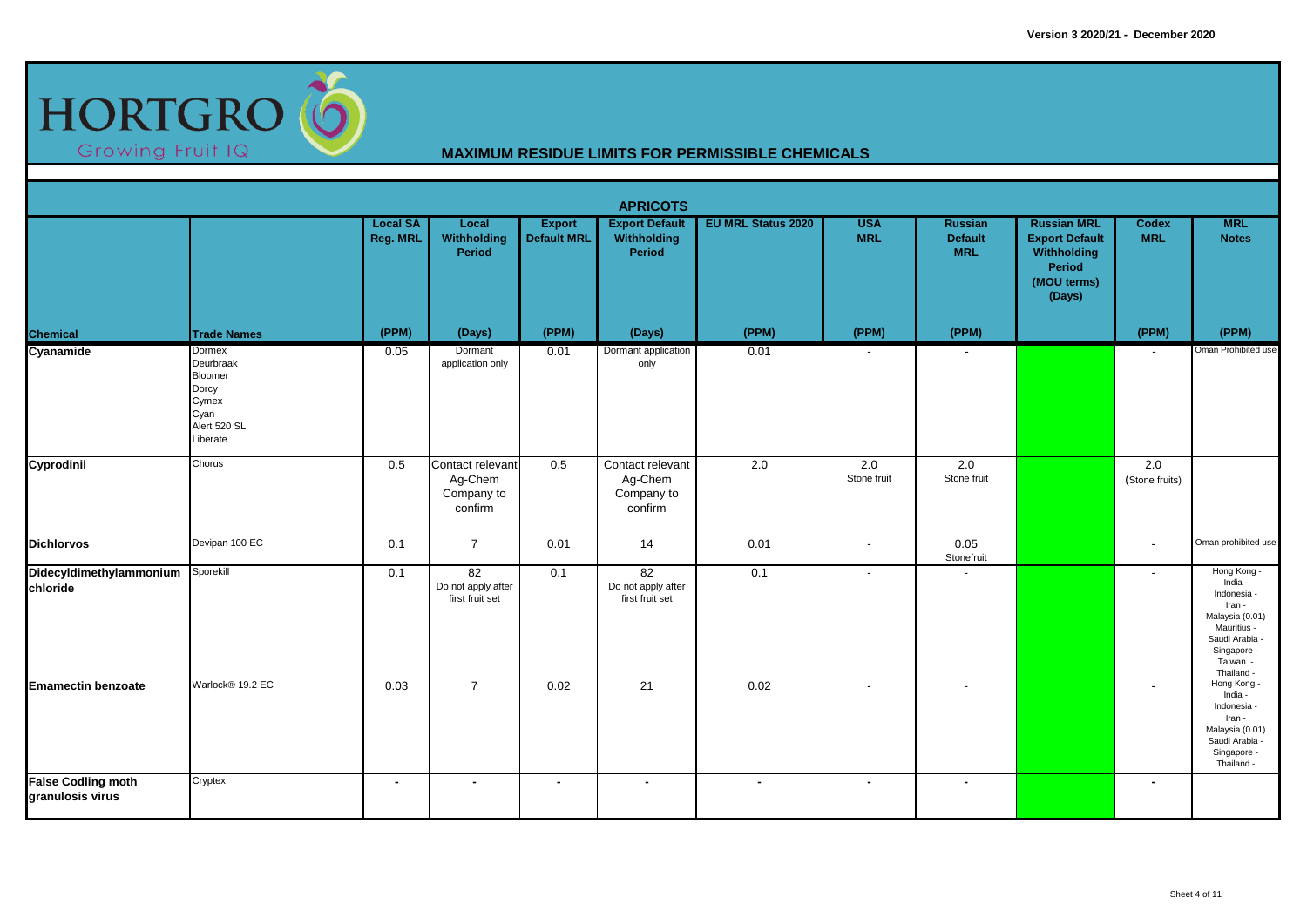

|                                               |                                                                                      |                                    |                                                      |                                     | <b>APRICOTS</b>                                      |                           |                          |                                                |                                                                                               |                            |                                                                                                                                            |
|-----------------------------------------------|--------------------------------------------------------------------------------------|------------------------------------|------------------------------------------------------|-------------------------------------|------------------------------------------------------|---------------------------|--------------------------|------------------------------------------------|-----------------------------------------------------------------------------------------------|----------------------------|--------------------------------------------------------------------------------------------------------------------------------------------|
|                                               |                                                                                      | <b>Local SA</b><br><b>Reg. MRL</b> | Local<br>Withholding<br>Period                       | <b>Export</b><br><b>Default MRL</b> | <b>Export Default</b><br>Withholding<br>Period       | <b>EU MRL Status 2020</b> | <b>USA</b><br><b>MRL</b> | <b>Russian</b><br><b>Default</b><br><b>MRL</b> | <b>Russian MRL</b><br><b>Export Default</b><br>Withholding<br>Period<br>(MOU terms)<br>(Days) | <b>Codex</b><br><b>MRL</b> | <b>MRL</b><br><b>Notes</b>                                                                                                                 |
| <b>Chemical</b>                               | <b>Trade Names</b>                                                                   | (PPM)                              | (Days)                                               | (PPM)                               | (Days)                                               | (PPM)                     | (PPM)                    | (PPM)                                          |                                                                                               | (PPM)                      | (PPM)                                                                                                                                      |
| Cyanamide                                     | Dormex<br>Deurbraak<br>Bloomer<br>Dorcy<br>Cymex<br>Cyan<br>Alert 520 SL<br>Liberate | 0.05                               | Dormant<br>application only                          | 0.01                                | Dormant application<br>only                          | 0.01                      | $\overline{\phantom{a}}$ |                                                |                                                                                               | $\overline{\phantom{a}}$   | Oman Prohibited use                                                                                                                        |
| Cyprodinil                                    | Chorus                                                                               | 0.5                                | Contact relevant<br>Ag-Chem<br>Company to<br>confirm | 0.5                                 | Contact relevant<br>Ag-Chem<br>Company to<br>confirm | 2.0                       | 2.0<br>Stone fruit       | 2.0<br>Stone fruit                             |                                                                                               | 2.0<br>(Stone fruits)      |                                                                                                                                            |
| <b>Dichlorvos</b>                             | Devipan 100 EC                                                                       | 0.1                                | $\overline{7}$                                       | 0.01                                | 14                                                   | 0.01                      | $\sim$                   | 0.05<br>Stonefruit                             |                                                                                               | $\overline{\phantom{a}}$   | Oman prohibited use                                                                                                                        |
| Didecyldimethylammonium<br>chloride           | Sporekill                                                                            | 0.1                                | 82<br>Do not apply after<br>first fruit set          | 0.1                                 | 82<br>Do not apply after<br>first fruit set          | 0.1                       | $\sim$                   | $\overline{\phantom{a}}$                       |                                                                                               | $\blacksquare$             | Hong Kong -<br>India -<br>Indonesia -<br>Iran -<br>Malaysia (0.01)<br>Mauritius -<br>Saudi Arabia<br>Singapore -<br>Taiwan -<br>Thailand - |
| <b>Emamectin benzoate</b>                     | Warlock® 19.2 EC                                                                     | 0.03                               | $\overline{7}$                                       | 0.02                                | 21                                                   | 0.02                      | $\overline{\phantom{a}}$ |                                                |                                                                                               | $\blacksquare$             | Hong Kong<br>India -<br>Indonesia -<br>Iran -<br>Malaysia (0.01)<br>Saudi Arabia<br>Singapore -<br>Thailand -                              |
| <b>False Codling moth</b><br>granulosis virus | Cryptex                                                                              | $\blacksquare$                     | $\sim$                                               | $\blacksquare$                      | $\blacksquare$                                       | $\sim$                    | $\sim$                   | $\blacksquare$                                 |                                                                                               | ٠                          |                                                                                                                                            |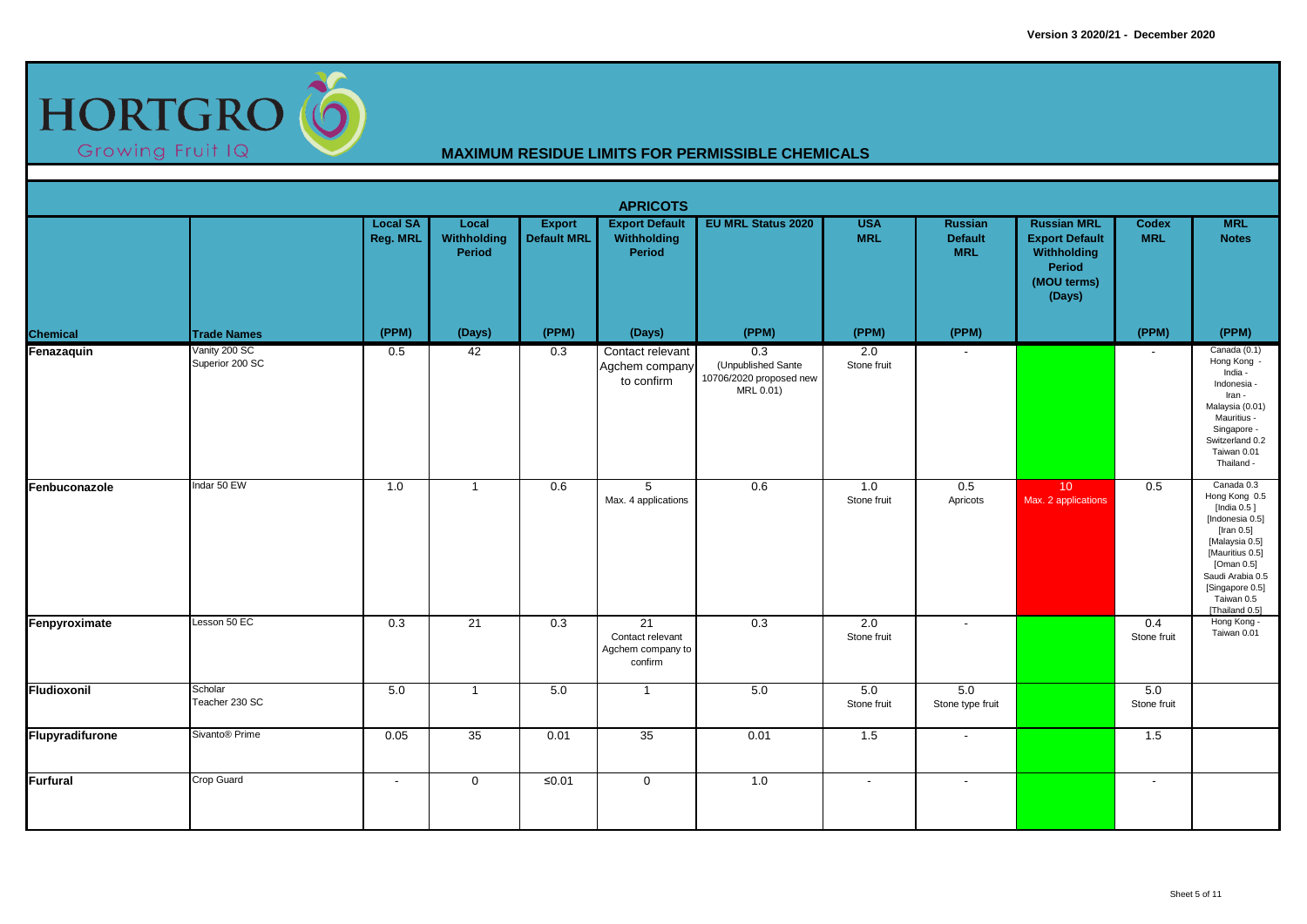

|                 |                                  |                             |                                |                                     | <b>APRICOTS</b>                                        |                                                                                |                          |                                                |                                                                                               |                          |                                                                                                                                                                                                          |
|-----------------|----------------------------------|-----------------------------|--------------------------------|-------------------------------------|--------------------------------------------------------|--------------------------------------------------------------------------------|--------------------------|------------------------------------------------|-----------------------------------------------------------------------------------------------|--------------------------|----------------------------------------------------------------------------------------------------------------------------------------------------------------------------------------------------------|
|                 |                                  | <b>Local SA</b><br>Reg. MRL | Local<br>Withholding<br>Period | <b>Export</b><br><b>Default MRL</b> | <b>Export Default</b><br>Withholding<br><b>Period</b>  | <b>EU MRL Status 2020</b>                                                      | <b>USA</b><br><b>MRL</b> | <b>Russian</b><br><b>Default</b><br><b>MRL</b> | <b>Russian MRL</b><br><b>Export Default</b><br>Withholding<br>Period<br>(MOU terms)<br>(Days) | Codex<br><b>MRL</b>      | <b>MRL</b><br><b>Notes</b>                                                                                                                                                                               |
| <b>Chemical</b> | <b>Trade Names</b>               | (PPM)                       | (Days)                         | (PPM)                               | (Days)                                                 | (PPM)                                                                          | (PPM)                    | (PPM)                                          |                                                                                               | (PPM)                    | (PPM)                                                                                                                                                                                                    |
| Fenazaquin      | Vanity 200 SC<br>Superior 200 SC | 0.5                         | 42                             | 0.3                                 | Contact relevant<br>Agchem company<br>to confirm       | $\overline{0.3}$<br>(Unpublished Sante<br>10706/2020 proposed new<br>MRL 0.01) | 2.0<br>Stone fruit       | $\overline{\phantom{a}}$                       |                                                                                               | $\overline{\phantom{a}}$ | Canada (0.1)<br>Hong Kong -<br>India -<br>Indonesia -<br>Iran -<br>Malaysia (0.01)<br>Mauritius -<br>Singapore -<br>Switzerland 0.2<br>Taiwan 0.01<br>Thailand -                                         |
| Fenbuconazole   | Indar 50 EW                      | 1.0                         | $\mathbf{1}$                   | 0.6                                 | 5<br>Max. 4 applications                               | 0.6                                                                            | 1.0<br>Stone fruit       | 0.5<br>Apricots                                | 10 <sup>°</sup><br>Max. 2 applications                                                        | 0.5                      | Canada 0.3<br>Hong Kong 0.5<br>[India $0.5$ ]<br>[Indonesia 0.5]<br>[Iran 0.5]<br>[Malaysia 0.5]<br>[Mauritius 0.5]<br>[Oman 0.5]<br>Saudi Arabia 0.5<br>[Singapore 0.5]<br>Taiwan 0.5<br>[Thailand 0.5] |
| Fenpyroximate   | Lesson 50 EC                     | 0.3                         | 21                             | 0.3                                 | 21<br>Contact relevant<br>Agchem company to<br>confirm | 0.3                                                                            | 2.0<br>Stone fruit       | $\blacksquare$                                 |                                                                                               | 0.4<br>Stone fruit       | Hong Kong -<br>Taiwan 0.01                                                                                                                                                                               |
| Fludioxonil     | Scholar<br>Teacher 230 SC        | 5.0                         | $\overline{1}$                 | 5.0                                 | $\mathbf{1}$                                           | 5.0                                                                            | 5.0<br>Stone fruit       | 5.0<br>Stone type fruit                        |                                                                                               | 5.0<br>Stone fruit       |                                                                                                                                                                                                          |
| Flupyradifurone | Sivanto <sup>®</sup> Prime       | 0.05                        | 35                             | 0.01                                | 35                                                     | 0.01                                                                           | 1.5                      | $\blacksquare$                                 |                                                                                               | 1.5                      |                                                                                                                                                                                                          |
| <b>Furfural</b> | Crop Guard                       | $\overline{\phantom{a}}$    | $\mathbf 0$                    | $≤0.01$                             | $\mathbf 0$                                            | 1.0                                                                            | $\sim$                   | $\overline{a}$                                 |                                                                                               | $\blacksquare$           |                                                                                                                                                                                                          |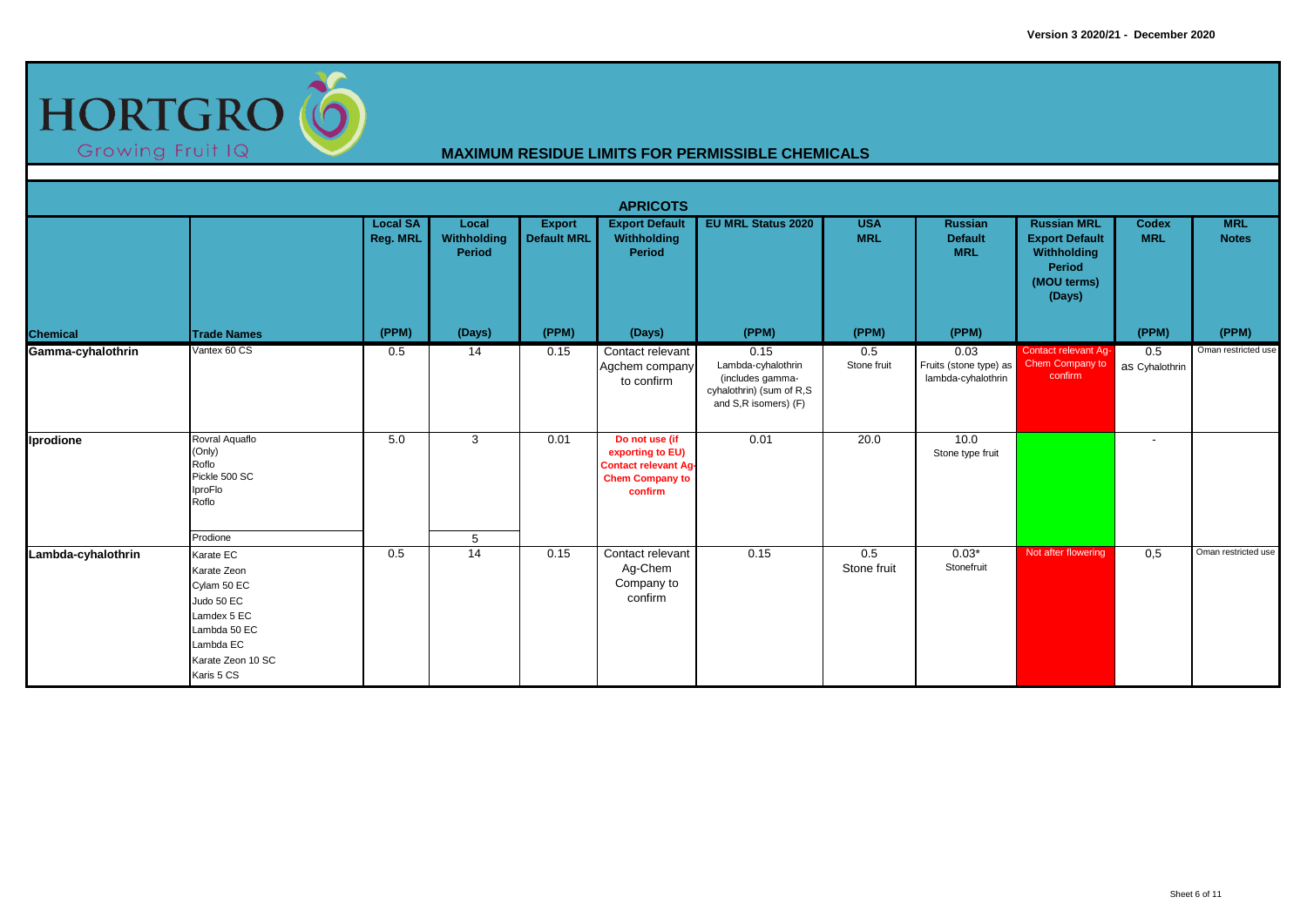

|                    |                                                                                                                                      |                             |                                |                                     | <b>APRICOTS</b>                                                                                        |                                                                                                    |                          |                                                      |                                                                                                      |                            |                            |
|--------------------|--------------------------------------------------------------------------------------------------------------------------------------|-----------------------------|--------------------------------|-------------------------------------|--------------------------------------------------------------------------------------------------------|----------------------------------------------------------------------------------------------------|--------------------------|------------------------------------------------------|------------------------------------------------------------------------------------------------------|----------------------------|----------------------------|
|                    |                                                                                                                                      | <b>Local SA</b><br>Reg. MRL | Local<br>Withholding<br>Period | <b>Export</b><br><b>Default MRL</b> | <b>Export Default</b><br>Withholding<br><b>Period</b>                                                  | <b>EU MRL Status 2020</b>                                                                          | <b>USA</b><br><b>MRL</b> | <b>Russian</b><br><b>Default</b><br><b>MRL</b>       | <b>Russian MRL</b><br><b>Export Default</b><br>Withholding<br><b>Period</b><br>(MOU terms)<br>(Days) | <b>Codex</b><br><b>MRL</b> | <b>MRL</b><br><b>Notes</b> |
| <b>Chemical</b>    | <b>Trade Names</b>                                                                                                                   | (PPM)                       | (Days)                         | (PPM)                               | (Days)                                                                                                 | (PPM)                                                                                              | (PPM)                    | (PPM)                                                |                                                                                                      | (PPM)                      | (PPM)                      |
| Gamma-cyhalothrin  | Vantex 60 CS                                                                                                                         | 0.5                         | 14                             | 0.15                                | Contact relevant<br>Agchem company<br>to confirm                                                       | 0.15<br>Lambda-cyhalothrin<br>(includes gamma-<br>cyhalothrin) (sum of R,S<br>and S,R isomers) (F) | 0.5<br>Stone fruit       | 0.03<br>Fruits (stone type) as<br>lambda-cyhalothrin | <b>Contact relevant Ag-</b><br>Chem Company to<br>confirm                                            | 0.5<br>as Cyhalothrin      | Oman restricted use        |
| Iprodione          | Rovral Aquaflo<br>(Only)<br>Roflo<br>Pickle 500 SC<br>IproFlo<br>Roflo                                                               | 5.0                         | 3                              | 0.01                                | Do not use (if<br>exporting to EU)<br><b>Contact relevant Ag-</b><br><b>Chem Company to</b><br>confirm | 0.01                                                                                               | 20.0                     | 10.0<br>Stone type fruit                             |                                                                                                      | $\overline{a}$             |                            |
|                    | Prodione                                                                                                                             |                             | 5                              |                                     |                                                                                                        |                                                                                                    |                          |                                                      |                                                                                                      |                            |                            |
| Lambda-cyhalothrin | Karate EC<br>Karate Zeon<br>Cylam 50 EC<br>Judo 50 EC<br>Lamdex 5 EC<br>Lambda 50 EC<br>Lambda EC<br>Karate Zeon 10 SC<br>Karis 5 CS | 0.5                         | 14                             | 0.15                                | Contact relevant<br>Ag-Chem<br>Company to<br>confirm                                                   | 0.15                                                                                               | 0.5<br>Stone fruit       | $0.03*$<br>Stonefruit                                | Not after flowering                                                                                  | 0,5                        | Oman restricted use        |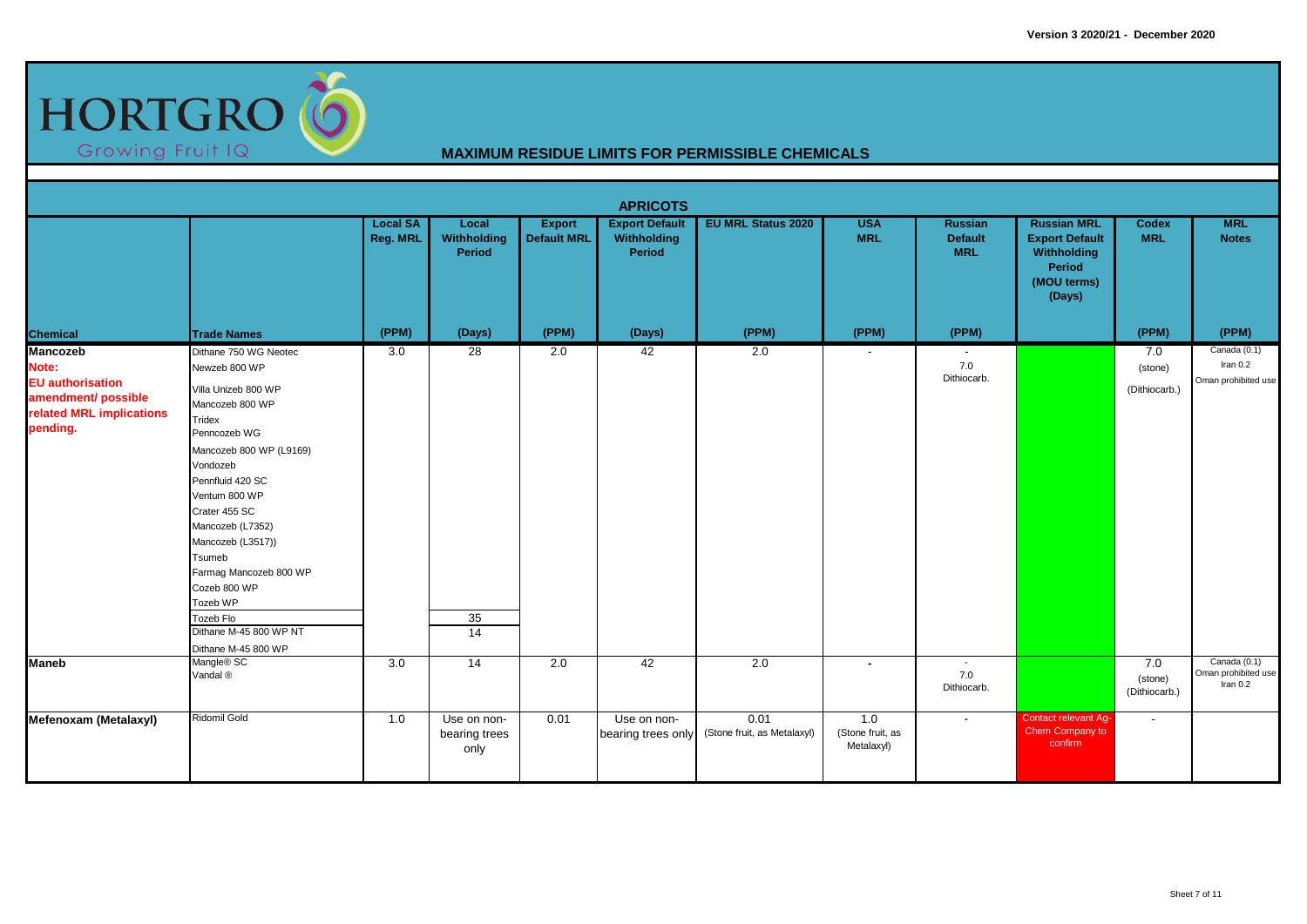

|                                                                                                                    |                                                                                                                                                                                                                                                                                                                                                                                |                                    |                                      |                                     | <b>APRICOTS</b>                                |                                     |                                       |                                                |                                                                                                      |                                 |                                                   |
|--------------------------------------------------------------------------------------------------------------------|--------------------------------------------------------------------------------------------------------------------------------------------------------------------------------------------------------------------------------------------------------------------------------------------------------------------------------------------------------------------------------|------------------------------------|--------------------------------------|-------------------------------------|------------------------------------------------|-------------------------------------|---------------------------------------|------------------------------------------------|------------------------------------------------------------------------------------------------------|---------------------------------|---------------------------------------------------|
|                                                                                                                    |                                                                                                                                                                                                                                                                                                                                                                                | <b>Local SA</b><br><b>Reg. MRL</b> | Local<br>Withholding<br>Period       | <b>Export</b><br><b>Default MRL</b> | <b>Export Default</b><br>Withholding<br>Period | <b>EU MRL Status 2020</b>           | <b>USA</b><br><b>MRL</b>              | <b>Russian</b><br><b>Default</b><br><b>MRL</b> | <b>Russian MRL</b><br><b>Export Default</b><br>Withholding<br><b>Period</b><br>(MOU terms)<br>(Days) | <b>Codex</b><br><b>MRL</b>      | <b>MRL</b><br><b>Notes</b>                        |
| <b>Chemical</b>                                                                                                    | <b>Trade Names</b>                                                                                                                                                                                                                                                                                                                                                             | (PPM)                              | (Days)                               | (PPM)                               | (Days)                                         | (PPM)                               | (PPM)                                 | (PPM)                                          |                                                                                                      | (PPM)                           | (PPM)                                             |
| <b>Mancozeb</b><br>Note:<br><b>EU</b> authorisation<br>amendment/ possible<br>related MRL implications<br>pending. | Dithane 750 WG Neotec<br>Newzeb 800 WP<br>Villa Unizeb 800 WP<br>Mancozeb 800 WP<br>Tridex<br>Penncozeb WG<br>Mancozeb 800 WP (L9169)<br>Vondozeb<br>Pennfluid 420 SC<br>Ventum 800 WP<br>Crater 455 SC<br>Mancozeb (L7352)<br>Mancozeb (L3517))<br>Tsumeb<br>Farmag Mancozeb 800 WP<br>Cozeb 800 WP<br>Tozeb WP<br>Tozeb Flo<br>Dithane M-45 800 WP NT<br>Dithane M-45 800 WP | 3.0                                | $\overline{28}$<br>35<br>14          | 2.0                                 | 42                                             | $\overline{2.0}$                    | $\sim$                                | $\sim$<br>7.0<br>Dithiocarb.                   |                                                                                                      | 7.0<br>(stone)<br>(Dithiocarb.) | Canada (0.1)<br>Iran $0.2$<br>Oman prohibited use |
| <b>Maneb</b>                                                                                                       | Mangle <sup>®</sup> SC<br>Vandal ®                                                                                                                                                                                                                                                                                                                                             | 3.0                                | 14                                   | 2.0                                 | 42                                             | 2.0                                 | $\sim$                                | $\sim$<br>7.0<br>Dithiocarb.                   |                                                                                                      | 7.0<br>(stone)<br>(Dithiocarb.) | Canada (0.1)<br>Oman prohibited use<br>Iran $0.2$ |
| Mefenoxam (Metalaxyl)                                                                                              | Ridomil Gold                                                                                                                                                                                                                                                                                                                                                                   | 1.0                                | Use on non-<br>bearing trees<br>only | 0.01                                | Use on non-<br>bearing trees only              | 0.01<br>(Stone fruit, as Metalaxyl) | 1.0<br>(Stone fruit, as<br>Metalaxyl) | $\sim$                                         | Contact relevant Ag-<br>Chem Company to<br>confirm                                                   | $\sim$                          |                                                   |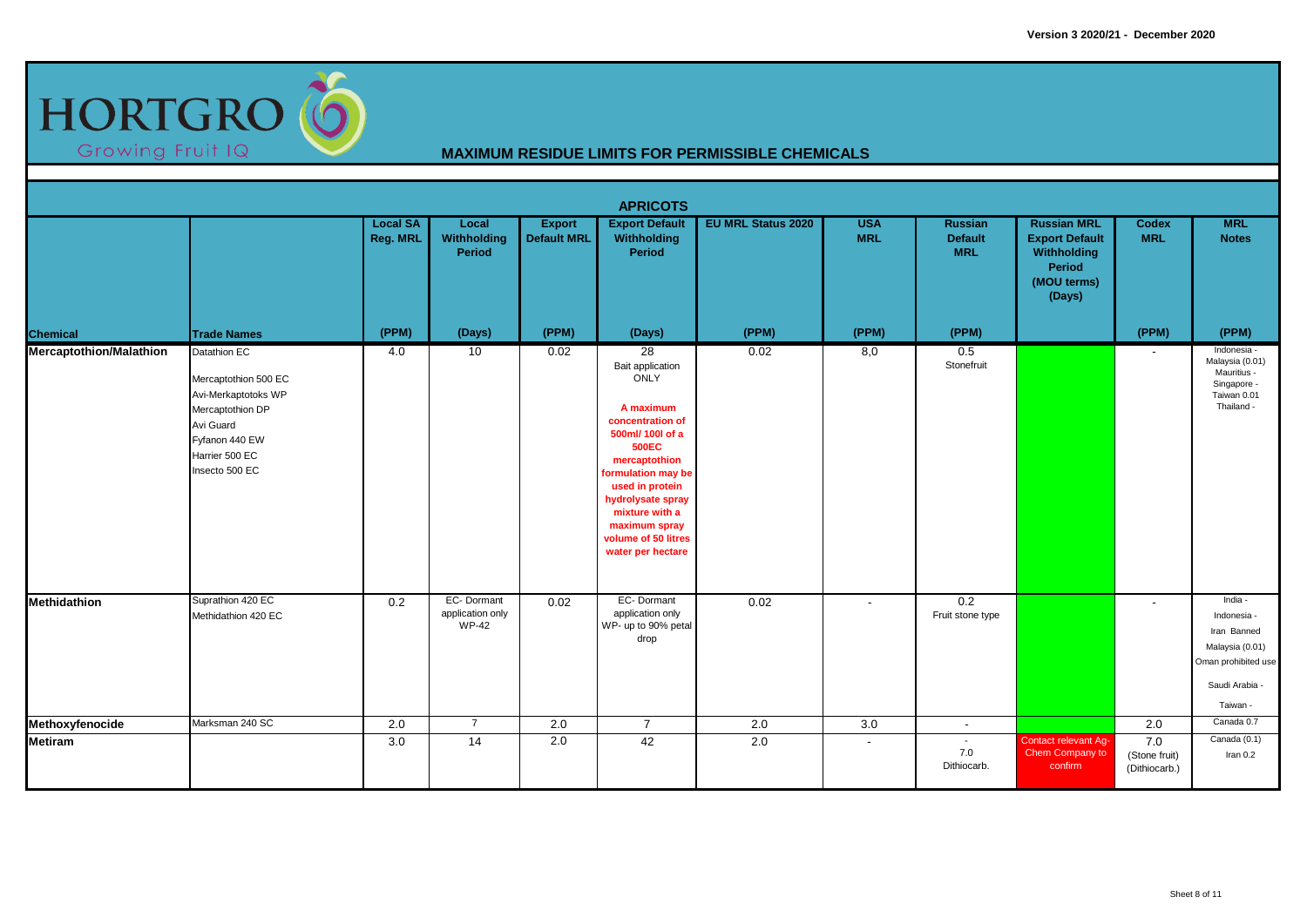

|                                |                                                                                                                                                    |                             |                                                |                                     | <b>APRICOTS</b>                                                                                                                                                                                                                                                   |                           |                          |                                                |                                                                                               |                                         |                                                                                                               |
|--------------------------------|----------------------------------------------------------------------------------------------------------------------------------------------------|-----------------------------|------------------------------------------------|-------------------------------------|-------------------------------------------------------------------------------------------------------------------------------------------------------------------------------------------------------------------------------------------------------------------|---------------------------|--------------------------|------------------------------------------------|-----------------------------------------------------------------------------------------------|-----------------------------------------|---------------------------------------------------------------------------------------------------------------|
|                                |                                                                                                                                                    | <b>Local SA</b><br>Reg. MRL | Local<br>Withholding<br>Period                 | <b>Export</b><br><b>Default MRL</b> | <b>Export Default</b><br>Withholding<br>Period                                                                                                                                                                                                                    | <b>EU MRL Status 2020</b> | <b>USA</b><br><b>MRL</b> | <b>Russian</b><br><b>Default</b><br><b>MRL</b> | <b>Russian MRL</b><br><b>Export Default</b><br>Withholding<br>Period<br>(MOU terms)<br>(Days) | <b>Codex</b><br><b>MRL</b>              | <b>MRL</b><br><b>Notes</b>                                                                                    |
| <b>Chemical</b>                | <b>Trade Names</b>                                                                                                                                 | (PPM)                       | (Days)                                         | (PPM)                               | (Days)                                                                                                                                                                                                                                                            | (PPM)                     | (PPM)                    | (PPM)                                          |                                                                                               | (PPM)                                   | (PPM)                                                                                                         |
| <b>Mercaptothion/Malathion</b> | Datathion EC<br>Mercaptothion 500 EC<br>Avi-Merkaptotoks WP<br>Mercaptothion DP<br>Avi Guard<br>Fyfanon 440 EW<br>Harrier 500 EC<br>Insecto 500 EC | 4.0                         | 10                                             | 0.02                                | 28<br>Bait application<br>ONLY<br>A maximum<br>concentration of<br>500ml/ 100l of a<br><b>500EC</b><br>mercaptothion<br>formulation may be<br>used in protein<br>hydrolysate spray<br>mixture with a<br>maximum spray<br>volume of 50 litres<br>water per hectare | 0.02                      | 8,0                      | 0.5<br>Stonefruit                              |                                                                                               | $\sim$                                  | Indonesia -<br>Malaysia (0.01)<br>Mauritius -<br>Singapore -<br>Taiwan 0.01<br>Thailand -                     |
| <b>Methidathion</b>            | Suprathion 420 EC<br>Methidathion 420 EC                                                                                                           | 0.2                         | EC-Dormant<br>application only<br><b>WP-42</b> | 0.02                                | EC-Dormant<br>application only<br>WP- up to 90% petal<br>drop                                                                                                                                                                                                     | 0.02                      | $\overline{\phantom{a}}$ | 0.2<br>Fruit stone type                        |                                                                                               | $\sim$                                  | India -<br>Indonesia -<br>Iran Banned<br>Malaysia (0.01)<br>Oman prohibited use<br>Saudi Arabia -<br>Taiwan - |
| Methoxyfenocide                | Marksman 240 SC                                                                                                                                    | $\overline{2.0}$            | $\overline{7}$                                 | $\overline{2.0}$                    | $\overline{7}$                                                                                                                                                                                                                                                    | 2.0                       | 3.0                      | $\sim$                                         |                                                                                               | 2.0                                     | Canada 0.7                                                                                                    |
| <b>Metiram</b>                 |                                                                                                                                                    | 3.0                         | 14                                             | 2.0                                 | 42                                                                                                                                                                                                                                                                | 2.0                       | $\overline{\phantom{a}}$ | $\sim$<br>7.0<br>Dithiocarb.                   | Contact relevant Ag-<br>Chem Company to<br>confirm                                            | $7.0$<br>(Stone fruit)<br>(Dithiocarb.) | Canada (0.1)<br>Iran 0.2                                                                                      |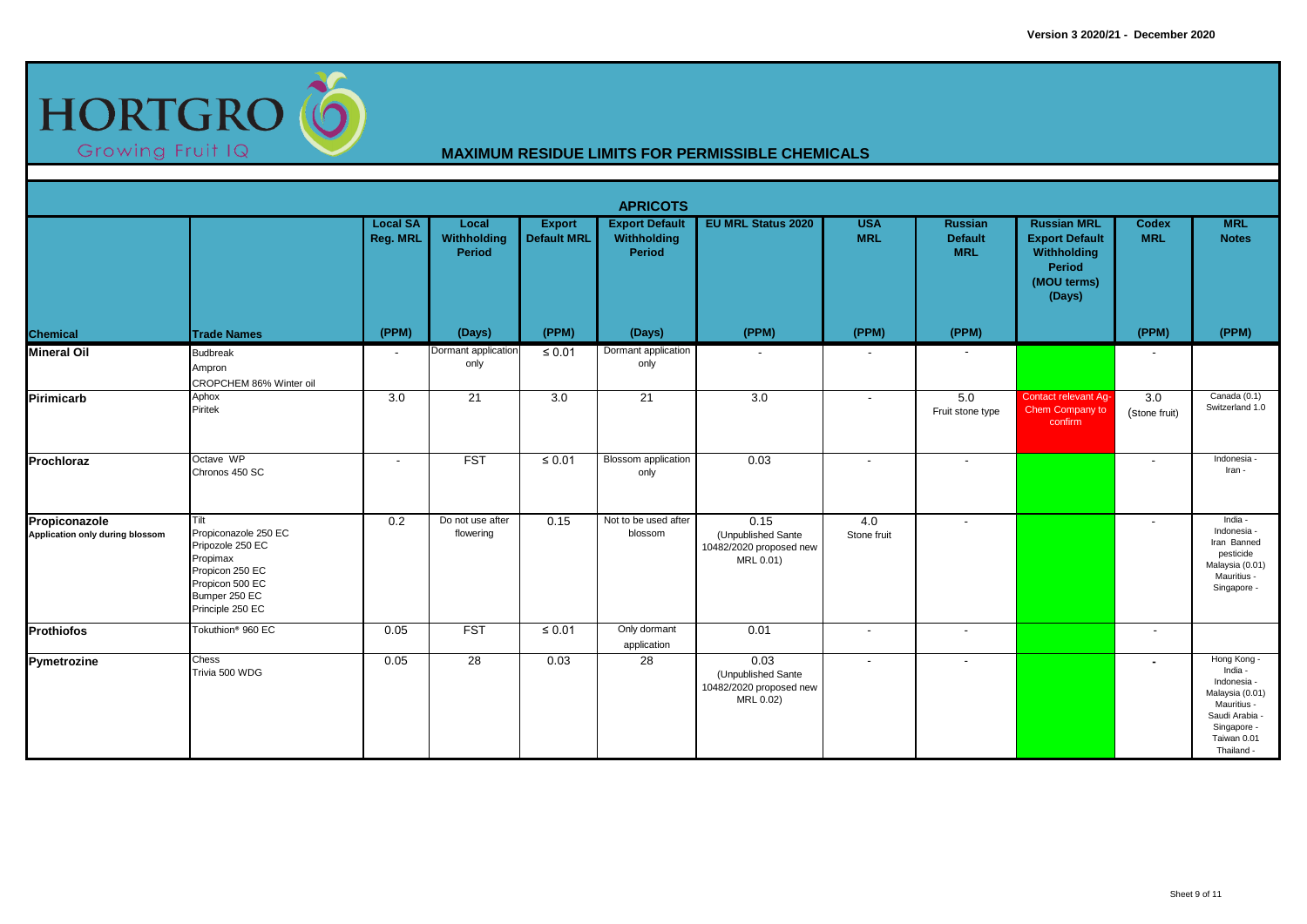

|                                                  |                                                                                                                                         |                                    |                                |                                     | <b>APRICOTS</b>                                |                                                                    |                          |                                                |                                                                                                      |                            |                                                                                                                                     |
|--------------------------------------------------|-----------------------------------------------------------------------------------------------------------------------------------------|------------------------------------|--------------------------------|-------------------------------------|------------------------------------------------|--------------------------------------------------------------------|--------------------------|------------------------------------------------|------------------------------------------------------------------------------------------------------|----------------------------|-------------------------------------------------------------------------------------------------------------------------------------|
|                                                  |                                                                                                                                         | <b>Local SA</b><br><b>Reg. MRL</b> | Local<br>Withholding<br>Period | <b>Export</b><br><b>Default MRL</b> | <b>Export Default</b><br>Withholding<br>Period | <b>EU MRL Status 2020</b>                                          | <b>USA</b><br><b>MRL</b> | <b>Russian</b><br><b>Default</b><br><b>MRL</b> | <b>Russian MRL</b><br><b>Export Default</b><br>Withholding<br><b>Period</b><br>(MOU terms)<br>(Days) | <b>Codex</b><br><b>MRL</b> | <b>MRL</b><br><b>Notes</b>                                                                                                          |
| <b>Chemical</b>                                  | <b>Trade Names</b>                                                                                                                      | (PPM)                              | (Days)                         | (PPM)                               | (Days)                                         | (PPM)                                                              | (PPM)                    | (PPM)                                          |                                                                                                      | (PPM)                      | (PPM)                                                                                                                               |
| <b>Mineral Oil</b>                               | <b>Budbreak</b><br>Ampron<br>CROPCHEM 86% Winter oil                                                                                    | $\overline{\phantom{a}}$           | Dormant application<br>only    | $\leq 0.01$                         | Dormant application<br>only                    |                                                                    | $\overline{\phantom{a}}$ | $\blacksquare$                                 |                                                                                                      |                            |                                                                                                                                     |
| Pirimicarb                                       | Aphox<br>Piritek                                                                                                                        | 3.0                                | 21                             | 3.0                                 | 21                                             | 3.0                                                                | $\overline{\phantom{a}}$ | 5.0<br>Fruit stone type                        | <b>Contact relevant Ag-</b><br>Chem Company to<br>confirm                                            | 3.0<br>(Stone fruit)       | Canada (0.1)<br>Switzerland 1.0                                                                                                     |
| Prochloraz                                       | Octave WP<br>Chronos 450 SC                                                                                                             | $\blacksquare$                     | <b>FST</b>                     | $\leq 0.01$                         | <b>Blossom</b> application<br>only             | 0.03                                                               | $\overline{\phantom{a}}$ | $\overline{\phantom{a}}$                       |                                                                                                      | $\overline{\phantom{a}}$   | Indonesia<br>Iran -                                                                                                                 |
| Propiconazole<br>Application only during blossom | Tilt<br>Propiconazole 250 EC<br>Pripozole 250 EC<br>Propimax<br>Propicon 250 EC<br>Propicon 500 EC<br>Bumper 250 EC<br>Principle 250 EC | 0.2                                | Do not use after<br>flowering  | 0.15                                | Not to be used after<br>blossom                | 0.15<br>(Unpublished Sante<br>10482/2020 proposed new<br>MRL 0.01) | 4.0<br>Stone fruit       | $\overline{\phantom{a}}$                       |                                                                                                      | $\overline{\phantom{a}}$   | India -<br>Indonesia -<br>Iran Banned<br>pesticide<br>Malaysia (0.01)<br>Mauritius -<br>Singapore -                                 |
| <b>Prothiofos</b>                                | Tokuthion <sup>®</sup> 960 EC                                                                                                           | 0.05                               | <b>FST</b>                     | $\leq 0.01$                         | Only dormant<br>application                    | 0.01                                                               | $\overline{\phantom{a}}$ | $\overline{\phantom{a}}$                       |                                                                                                      | $\overline{\phantom{a}}$   |                                                                                                                                     |
| Pymetrozine                                      | Chess<br>Trivia 500 WDG                                                                                                                 | 0.05                               | 28                             | 0.03                                | 28                                             | 0.03<br>(Unpublished Sante<br>10482/2020 proposed new<br>MRL 0.02) | $\overline{\phantom{a}}$ |                                                |                                                                                                      | $\blacksquare$             | Hong Kong -<br>India -<br>Indonesia -<br>Malaysia (0.01)<br>Mauritius -<br>Saudi Arabia<br>Singapore -<br>Taiwan 0.01<br>Thailand - |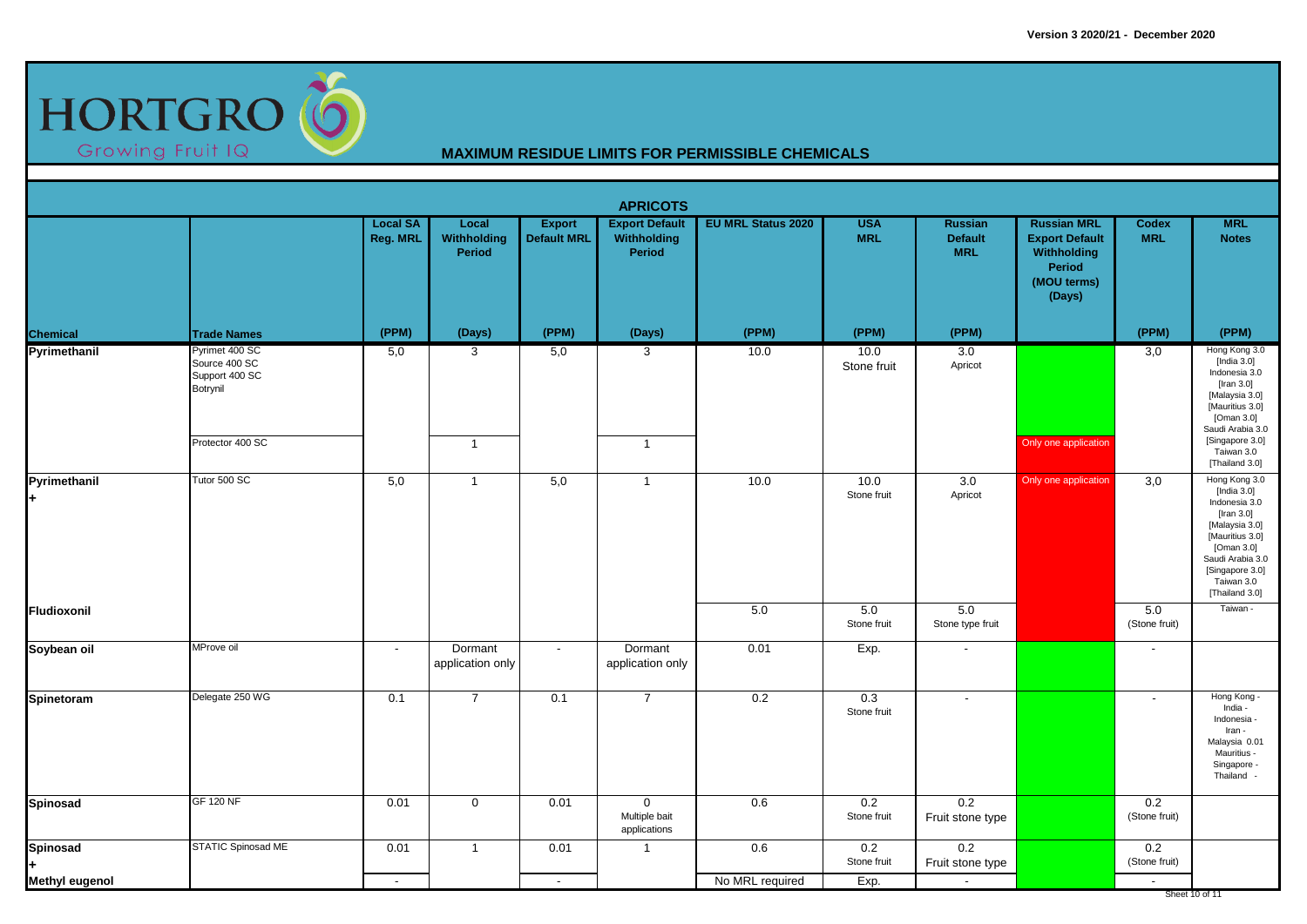

|                              |                                                               |                                    |                                |                                     | <b>APRICOTS</b>                                |                           |                          |                                                |                                                                                               |                            |                                                                                                                                                                                       |
|------------------------------|---------------------------------------------------------------|------------------------------------|--------------------------------|-------------------------------------|------------------------------------------------|---------------------------|--------------------------|------------------------------------------------|-----------------------------------------------------------------------------------------------|----------------------------|---------------------------------------------------------------------------------------------------------------------------------------------------------------------------------------|
|                              |                                                               | <b>Local SA</b><br><b>Reg. MRL</b> | Local<br>Withholding<br>Period | <b>Export</b><br><b>Default MRL</b> | <b>Export Default</b><br>Withholding<br>Period | <b>EU MRL Status 2020</b> | <b>USA</b><br><b>MRL</b> | <b>Russian</b><br><b>Default</b><br><b>MRL</b> | <b>Russian MRL</b><br><b>Export Default</b><br>Withholding<br>Period<br>(MOU terms)<br>(Days) | <b>Codex</b><br><b>MRL</b> | <b>MRL</b><br><b>Notes</b>                                                                                                                                                            |
| <b>Chemical</b>              | <b>Trade Names</b>                                            | (PPM)                              | (Days)                         | (PPM)                               | (Days)                                         | (PPM)                     | (PPM)                    | (PPM)                                          |                                                                                               | (PPM)                      | (PPM)                                                                                                                                                                                 |
| Pyrimethanil                 | Pyrimet 400 SC<br>Source 400 SC<br>Support 400 SC<br>Botrynil | 5,0                                | $\mathbf{3}$                   | 5,0                                 | 3                                              | 10.0                      | 10.0<br>Stone fruit      | 3.0<br>Apricot                                 |                                                                                               | 3,0                        | Hong Kong 3.0<br>[India $3.0$ ]<br>Indonesia 3.0<br>[Iran 3.0]<br>[Malaysia 3.0]<br>[Mauritius 3.0]<br>[Oman 3.0]<br>Saudi Arabia 3.0                                                 |
|                              | Protector 400 SC                                              |                                    | $\overline{1}$                 |                                     | $\mathbf{1}$                                   |                           |                          |                                                | Only one application                                                                          |                            | [Singapore 3.0]<br>Taiwan 3.0<br>[Thailand 3.0]                                                                                                                                       |
| Pyrimethanil<br>$\ddot{}$    | Tutor 500 SC                                                  | 5,0                                | $\overline{1}$                 | 5,0                                 | $\overline{1}$                                 | 10.0                      | 10.0<br>Stone fruit      | 3.0<br>Apricot                                 | Only one application                                                                          | 3,0                        | Hong Kong 3.0<br>[India 3.0]<br>Indonesia 3.0<br>[Iran 3.0]<br>[Malaysia 3.0]<br>[Mauritius 3.0]<br>[Oman 3.0]<br>Saudi Arabia 3.0<br>[Singapore 3.0]<br>Taiwan 3.0<br>[Thailand 3.0] |
| Fludioxonil                  |                                                               |                                    |                                |                                     |                                                | 5.0                       | 5.0<br>Stone fruit       | 5.0<br>Stone type fruit                        |                                                                                               | 5.0<br>(Stone fruit)       | Taiwan -                                                                                                                                                                              |
| Soybean oil                  | MProve oil                                                    | $\sim$                             | Dormant<br>application only    | $\sim$                              | Dormant<br>application only                    | 0.01                      | Exp.                     | $\sim$                                         |                                                                                               | $\blacksquare$             |                                                                                                                                                                                       |
| Spinetoram                   | Delegate 250 WG                                               | 0.1                                | $\overline{7}$                 | 0.1                                 | $\overline{7}$                                 | 0.2                       | 0.3<br>Stone fruit       | $\sim$                                         |                                                                                               | $\overline{\phantom{a}}$   | Hong Kong -<br>India -<br>Indonesia -<br>Iran -<br>Malaysia 0.01<br>Mauritius -<br>Singapore -<br>Thailand -                                                                          |
| <b>Spinosad</b>              | <b>GF 120 NF</b>                                              | 0.01                               | $\overline{0}$                 | 0.01                                | $\mathbf 0$<br>Multiple bait<br>applications   | 0.6                       | 0.2<br>Stone fruit       | 0.2<br>Fruit stone type                        |                                                                                               | 0.2<br>(Stone fruit)       |                                                                                                                                                                                       |
| <b>Spinosad</b><br>$\ddot{}$ | STATIC Spinosad ME                                            | 0.01                               | $\overline{1}$                 | 0.01                                | $\mathbf{1}$                                   | 0.6                       | 0.2<br>Stone fruit       | 0.2<br>Fruit stone type                        |                                                                                               | 0.2<br>(Stone fruit)       |                                                                                                                                                                                       |
| <b>Methyl eugenol</b>        |                                                               | $\sim$                             |                                | $\sim$                              |                                                | No MRL required           | Exp.                     | $\sim$                                         |                                                                                               | $\overline{\phantom{a}}$   | Sheet 10 of 11                                                                                                                                                                        |